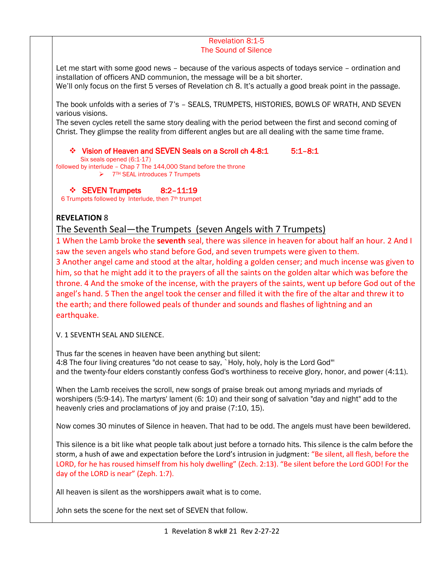#### Revelation 8:1-5 The Sound of Silence

Let me start with some good news – because of the various aspects of todays service – ordination and installation of officers AND communion, the message will be a bit shorter.

We'll only focus on the first 5 verses of Revelation ch 8. It's actually a good break point in the passage.

The book unfolds with a series of 7's – SEALS, TRUMPETS, HISTORIES, BOWLS OF WRATH, AND SEVEN various visions.

The seven cycles retell the same story dealing with the period between the first and second coming of Christ. They glimpse the reality from different angles but are all dealing with the same time frame.

# ❖ Vision of Heaven and SEVEN Seals on a Scroll ch 4-8:1 5:1–8:1

 Six seals opened (6:1-17) followed by interlude – Chap 7 The 144,000 Stand before the throne ➢ 7TH SEAL introduces 7 Trumpets

❖ SEVEN Trumpets 8:2–11:19

6 Trumpets followed by Interlude, then 7th trumpet

## **REVELATION** 8

# The Seventh Seal—the Trumpets (seven Angels with 7 Trumpets)

1 When the Lamb broke the **seventh** seal, there was silence in heaven for about half an hour. 2 And I saw the seven angels who stand before God, and seven trumpets were given to them. 3 Another angel came and stood at the altar, holding a golden censer; and much incense was given to him, so that he might add it to the prayers of all the saints on the golden altar which was before the throne. 4 And the smoke of the incense, with the prayers of the saints, went up before God out of the angel's hand. 5 Then the angel took the censer and filled it with the fire of the altar and threw it to the earth; and there followed peals of thunder and sounds and flashes of lightning and an earthquake.

V. 1 SEVENTH SEAL AND SILENCE.

Thus far the scenes in heaven have been anything but silent: 4:8 The four living creatures "do not cease to say, `Holy, holy, holy is the Lord God"' and the twenty-four elders constantly confess God's worthiness to receive glory, honor, and power (4:11).

When the Lamb receives the scroll, new songs of praise break out among myriads and myriads of worshipers (5:9-14). The martyrs' lament (6: 10) and their song of salvation "day and night" add to the heavenly cries and proclamations of joy and praise (7:10, 15).

Now comes 30 minutes of Silence in heaven. That had to be odd. The angels must have been bewildered.

This silence is a bit like what people talk about just before a tornado hits. This silence is the calm before the storm, a hush of awe and expectation before the Lord's intrusion in judgment: "Be silent, all flesh, before the LORD, for he has roused himself from his holy dwelling" (Zech. 2:13). "Be silent before the Lord GOD! For the day of the LORD is near" (Zeph. 1:7).

All heaven is silent as the worshippers await what is to come.

John sets the scene for the next set of SEVEN that follow.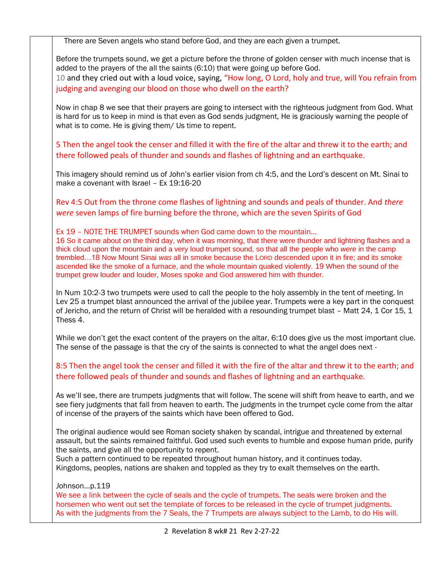There are Seven angels who stand before God, and they are each given a trumpet.

Before the trumpets sound, we get a picture before the throne of golden censer with much incense that is added to the prayers of the all the saints (6:10) that were going up before God.

10 and they cried out with a loud voice, saying, "How long, O Lord, holy and true, will You refrain from judging and avenging our blood on those who dwell on the earth?

Now in chap 8 we see that their prayers are going to intersect with the righteous judgment from God. What is hard for us to keep in mind is that even as God sends judgment, He is graciously warning the people of what is to come. He is giving them/ Us time to repent.

5 Then the angel took the censer and filled it with the fire of the altar and threw it to the earth; and there followed peals of thunder and sounds and flashes of lightning and an earthquake.

This imagery should remind us of John's earlier vision from ch 4:5, and the Lord's descent on Mt. Sinai to make a covenant with Israel – Ex 19:16-20

Rev 4:5 Out from the throne come flashes of lightning and sounds and peals of thunder. And *there were* seven lamps of fire burning before the throne, which are the seven Spirits of God

Ex 19 – NOTE THE TRUMPET sounds when God came down to the mountain…

16 So it came about on the third day, when it was morning, that there were thunder and lightning flashes and a thick cloud upon the mountain and a very loud trumpet sound, so that all the people who *were* in the camp trembled…18 Now Mount Sinai *was* all in smoke because the LORD descended upon it in fire; and its smoke ascended like the smoke of a furnace, and the whole mountain quaked violently. 19 When the sound of the trumpet grew louder and louder, Moses spoke and God answered him with thunder.

In Num 10:2-3 two trumpets were used to call the people to the holy assembly in the tent of meeting. In Lev 25 a trumpet blast announced the arrival of the jubilee year. Trumpets were a key part in the conquest of Jericho, and the return of Christ will be heralded with a resounding trumpet blast - Matt 24, 1 Cor 15, 1 Thess 4.

While we don't get the exact content of the prayers on the altar, 6:10 does give us the most important clue. The sense of the passage is that the cry of the saints is connected to what the angel does next -

## 8:5 Then the angel took the censer and filled it with the fire of the altar and threw it to the earth; and there followed peals of thunder and sounds and flashes of lightning and an earthquake.

As we'll see, there are trumpets judgments that will follow. The scene will shift from heave to earth, and we see fiery judgments that fall from heaven to earth. The judgments in the trumpet cycle come from the altar of incense of the prayers of the saints which have been offered to God.

The original audience would see Roman society shaken by scandal, intrigue and threatened by external assault, but the saints remained faithful. God used such events to humble and expose human pride, purify the saints, and give all the opportunity to repent.

Such a pattern continued to be repeated throughout human history, and it continues today. Kingdoms, peoples, nations are shaken and toppled as they try to exalt themselves on the earth.

### Johnson…p.119

We see a link between the cycle of seals and the cycle of trumpets. The seals were broken and the horsemen who went out set the template of forces to be released in the cycle of trumpet judgments. As with the judgments from the 7 Seals, the 7 Trumpets are always subject to the Lamb, to do His will.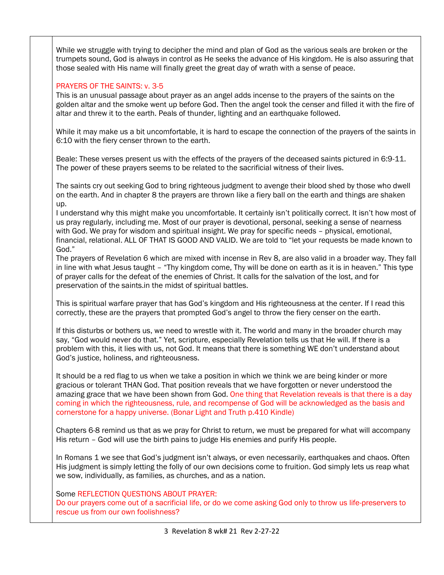While we struggle with trying to decipher the mind and plan of God as the various seals are broken or the trumpets sound, God is always in control as He seeks the advance of His kingdom. He is also assuring that those sealed with His name will finally greet the great day of wrath with a sense of peace.

### PRAYERS OF THE SAINTS: v. 3-5

This is an unusual passage about prayer as an angel adds incense to the prayers of the saints on the golden altar and the smoke went up before God. Then the angel took the censer and filled it with the fire of altar and threw it to the earth. Peals of thunder, lighting and an earthquake followed.

While it may make us a bit uncomfortable, it is hard to escape the connection of the prayers of the saints in 6:10 with the fiery censer thrown to the earth.

Beale: These verses present us with the effects of the prayers of the deceased saints pictured in 6:9-11. The power of these prayers seems to be related to the sacrificial witness of their lives.

The saints cry out seeking God to bring righteous judgment to avenge their blood shed by those who dwell on the earth. And in chapter 8 the prayers are thrown like a fiery ball on the earth and things are shaken up.

I understand why this might make you uncomfortable. It certainly isn't politically correct. It isn't how most of us pray regularly, including me. Most of our prayer is devotional, personal, seeking a sense of nearness with God. We pray for wisdom and spiritual insight. We pray for specific needs - physical, emotional, financial, relational. ALL OF THAT IS GOOD AND VALID. We are told to "let your requests be made known to God."

The prayers of Revelation 6 which are mixed with incense in Rev 8, are also valid in a broader way. They fall in line with what Jesus taught – "Thy kingdom come, Thy will be done on earth as it is in heaven." This type of prayer calls for the defeat of the enemies of Christ. It calls for the salvation of the lost, and for preservation of the saints.in the midst of spiritual battles.

This is spiritual warfare prayer that has God's kingdom and His righteousness at the center. If I read this correctly, these are the prayers that prompted God's angel to throw the fiery censer on the earth.

If this disturbs or bothers us, we need to wrestle with it. The world and many in the broader church may say, "God would never do that." Yet, scripture, especially Revelation tells us that He will. If there is a problem with this, it lies with us, not God. It means that there is something WE don't understand about God's justice, holiness, and righteousness.

It should be a red flag to us when we take a position in which we think we are being kinder or more gracious or tolerant THAN God. That position reveals that we have forgotten or never understood the amazing grace that we have been shown from God. One thing that Revelation reveals is that there is a day coming in which the righteousness, rule, and recompense of God will be acknowledged as the basis and cornerstone for a happy universe. (Bonar Light and Truth p.410 Kindle)

Chapters 6-8 remind us that as we pray for Christ to return, we must be prepared for what will accompany His return – God will use the birth pains to judge His enemies and purify His people.

In Romans 1 we see that God's judgment isn't always, or even necessarily, earthquakes and chaos. Often His judgment is simply letting the folly of our own decisions come to fruition. God simply lets us reap what we sow, individually, as families, as churches, and as a nation.

#### Some REFLECTION QUESTIONS ABOUT PRAYER:

Do our prayers come out of a sacrificial life, or do we come asking God only to throw us life-preservers to rescue us from our own foolishness?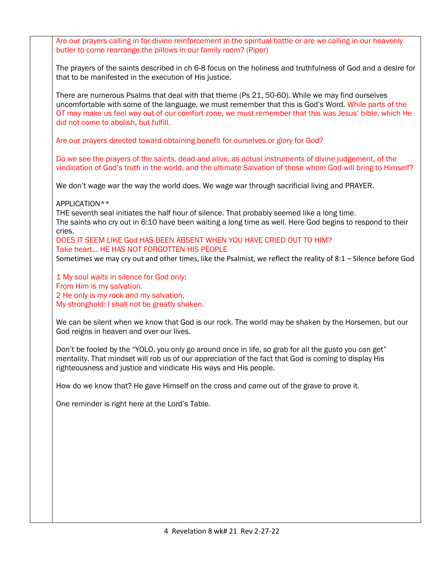Are our prayers calling in for divine reinforcement in the spiritual battle or are we calling in our heavenly butler to come rearrange the pillows in our family room? (Piper) The prayers of the saints described in ch 6-8 focus on the holiness and truthfulness of God and a desire for that to be manifested in the execution of His justice. There are numerous Psalms that deal with that theme (Ps 21, 50-60). While we may find ourselves uncomfortable with some of the language, we must remember that this is God's Word. While parts of the OT may make us feel way out of our comfort zone, we must remember that this was Jesus' bible, which He did not come to abolish, but fulfill. Are our prayers directed toward obtaining benefit for ourselves or glory for God? Do we see the prayers of the saints, dead and alive, as actual instruments of divine judgement, of the vindication of God's truth in the world, and the ultimate Salvation of those whom God will bring to Himself? We don't wage war the way the world does. We wage war through sacrificial living and PRAYER. APPLICATION\*\* THE seventh seal initiates the half hour of silence. That probably seemed like a long time. The saints who cry out in 6:10 have been waiting a long time as well. Here God begins to respond to their cries. DOES IT SEEM LIKE God HAS BEEN ABSENT WHEN YOU HAVE CRIED OUT TO HIM? Take heart… HE HAS NOT FORGOTTEN HIS PEOPLE Sometimes we may cry out and other times, like the Psalmist, we reflect the reality of 8:1 – Silence before God 1 My soul *waits* in silence for God only; From Him is my salvation. 2 He only is my rock and my salvation, My stronghold: I shall not be greatly shaken. We can be silent when we know that God is our rock. The world may be shaken by the Horsemen, but our God reigns in heaven and over our lives. Don't be fooled by the "YOLO, you only go around once in life, so grab for all the gusto you can get" mentality. That mindset will rob us of our appreciation of the fact that God is coming to display His righteousness and justice and vindicate His ways and His people. How do we know that? He gave Himself on the cross and came out of the grave to prove it. One reminder is right here at the Lord's Table.